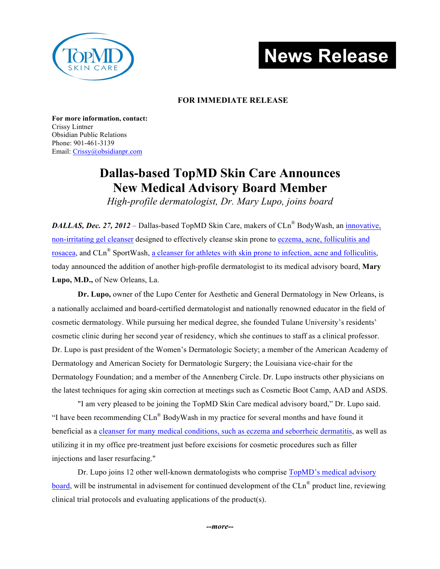

# **News Release**

### **FOR IMMEDIATE RELEASE**

**For more information, contact:** Crissy Lintner Obsidian Public Relations Phone: 901-461-3139 Email: Crissy@obsidianpr.com

## **Dallas-based TopMD Skin Care Announces New Medical Advisory Board Member**

*High-profile dermatologist, Dr. Mary Lupo, joins board* 

*DALLAS, Dec. 27, 2012* – Dallas-based TopMD Skin Care, makers of CLn® BodyWash, an innovative, non-irritating gel cleanser designed to effectively cleanse skin prone to eczema, acne, folliculitis and rosacea, and CLn® SportWash, a cleanser for athletes with skin prone to infection, acne and folliculitis, today announced the addition of another high-profile dermatologist to its medical advisory board, **Mary Lupo, M.D.,** of New Orleans, La.

**Dr. Lupo,** owner of the Lupo Center for Aesthetic and General Dermatology in New Orleans, is a nationally acclaimed and board-certified dermatologist and nationally renowned educator in the field of cosmetic dermatology. While pursuing her medical degree, she founded Tulane University's residents' cosmetic clinic during her second year of residency, which she continues to staff as a clinical professor. Dr. Lupo is past president of the Women's Dermatologic Society; a member of the American Academy of Dermatology and American Society for Dermatologic Surgery; the Louisiana vice-chair for the Dermatology Foundation; and a member of the Annenberg Circle. Dr. Lupo instructs other physicians on the latest techniques for aging skin correction at meetings such as Cosmetic Boot Camp, AAD and ASDS.

"I am very pleased to be joining the TopMD Skin Care medical advisory board," Dr. Lupo said. "I have been recommending CLn® BodyWash in my practice for several months and have found it beneficial as a cleanser for many medical conditions, such as eczema and seborrheic dermatitis, as well as utilizing it in my office pre-treatment just before excisions for cosmetic procedures such as filler injections and laser resurfacing."

Dr. Lupo joins 12 other well-known dermatologists who comprise TopMD's medical advisory board, will be instrumental in advisement for continued development of the CLn® product line, reviewing clinical trial protocols and evaluating applications of the product(s).

*--more--*